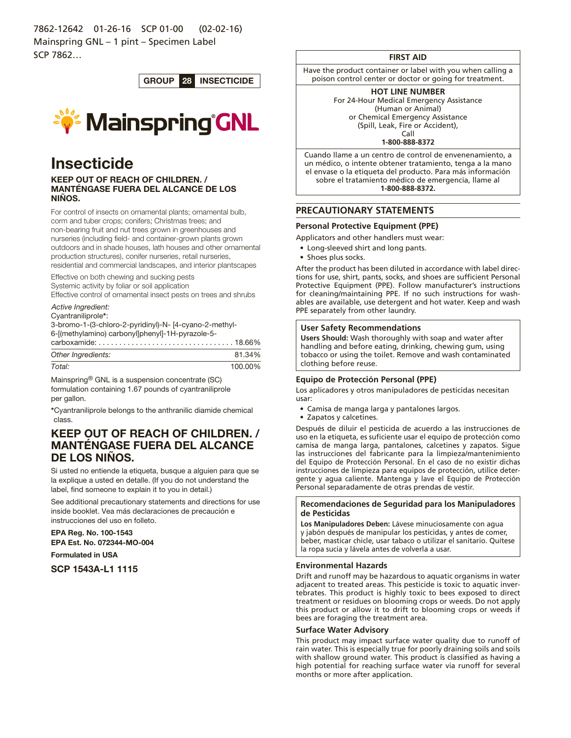7862-12642 01-26-16 SCP 01-00 (02-02-16) Mainspring GNL – 1 pint – Specimen Label SCP 7862…

GROUP 28 INSECTICIDE



# Insecticide

## KEEP OUT OF REACH OF CHILDREN. / MANTÉNGASE FUERA DEL ALCANCE DE LOS NIÑOS.

For control of insects on ornamental plants; ornamental bulb, corm and tuber crops; conifers; Christmas trees; and non-bearing fruit and nut trees grown in greenhouses and nurseries (including field- and container-grown plants grown outdoors and in shade houses, lath houses and other ornamental production structures), conifer nurseries, retail nurseries, residential and commercial landscapes, and interior plantscapes

Effective on both chewing and sucking pests

Systemic activity by foliar or soil application

Effective control of ornamental insect pests on trees and shrubs

#### *Active Ingredient:*

#### Cyantraniliprole\*:

3-bromo-1-(3-chloro-2-pyridinyl)-N- [4-cyano-2-methyl-

6-[(methylamino) carbonyl]phenyl]-1H-pyrazole-5-

| Other Ingredients: | 81.34%  |
|--------------------|---------|
| Total:             | 100.00% |

Mainspring® GNL is a suspension concentrate (SC) formulation containing 1.67 pounds of cyantraniliprole per gallon.

\*Cyantraniliprole belongs to the anthranilic diamide chemical class.

## KEEP OUT OF REACH OF CHILDREN. / MANTÉNGASE FUERA DEL ALCANCE DE LOS NINOS.

Si usted no entiende la etiqueta, busque a alguien para que se la explique a usted en detalle. (If you do not understand the label, find someone to explain it to you in detail.)

See additional precautionary statements and directions for use inside booklet. Vea más declaraciones de precaución e instrucciones del uso en folleto.

EPA Reg. No. 100-1543 EPA Est. No. 072344-MO-004

Formulated in USA

SCP 1543A-L1 1115

## **FIRST AID**

Have the product container or label with you when calling a poison control center or doctor or going for treatment.

## **HOT LINE NUMBER**

For 24-Hour Medical Emergency Assistance (Human or Animal) or Chemical Emergency Assistance (Spill, Leak, Fire or Accident),

Call **1-800-888-8372**

Cuando llame a un centro de control de envenenamiento, a un médico, o intente obtener tratamiento, tenga a la mano el envase o la etiqueta del producto. Para más información sobre el tratamiento médico de emergencia, llame al **1-800-888-8372.**

## **PRECAUTIONARY STATEMENTS**

## **Personal Protective Equipment (PPE)**

Applicators and other handlers must wear:

- Long-sleeved shirt and long pants.
- Shoes plus socks.

After the product has been diluted in accordance with label directions for use, shirt, pants, socks, and shoes are sufficient Personal Protective Equipment (PPE). Follow manufacturer's instructions for cleaning/maintaining PPE. If no such instructions for washables are available, use detergent and hot water. Keep and wash PPE separately from other laundry.

## **User Safety Recommendations**

**Users Should:** Wash thoroughly with soap and water after handling and before eating, drinking, chewing gum, using tobacco or using the toilet. Remove and wash contaminated clothing before reuse.

## **Equipo de Protección Personal (PPE)**

Los aplicadores y otros manipuladores de pesticidas necesitan usar:

- • Camisa de manga larga y pantalones largos.
- Zapatos y calcetines.

Después de diluir el pesticida de acuerdo a las instrucciones de uso en la etiqueta, es suficiente usar el equipo de protección como camisa de manga larga, pantalones, calcetines y zapatos. Sigue las instrucciones del fabricante para la limpieza/mantenimiento del Equipo de Protección Personal. En el caso de no existir dichas instrucciones de limpieza para equipos de protección, utilice detergente y agua caliente. Mantenga y lave el Equipo de Protección Personal separadamente de otras prendas de vestir.

## **Recomendaciones de Seguridad para los Manipuladores de Pesticidas**

**Los Manipuladores Deben:** Lávese minuciosamente con agua y jabón después de manipular los pesticidas, y antes de comer, beber, masticar chicle, usar tabaco o utilizar el sanitario. Quítese la ropa sucia y lávela antes de volverla a usar.

#### **Environmental Hazards**

Drift and runoff may be hazardous to aquatic organisms in water adjacent to treated areas. This pesticide is toxic to aquatic invertebrates. This product is highly toxic to bees exposed to direct treatment or residues on blooming crops or weeds. Do not apply this product or allow it to drift to blooming crops or weeds if bees are foraging the treatment area.

## **Surface Water Advisory**

This product may impact surface water quality due to runoff of rain water. This is especially true for poorly draining soils and soils with shallow ground water. This product is classified as having a high potential for reaching surface water via runoff for several months or more after application.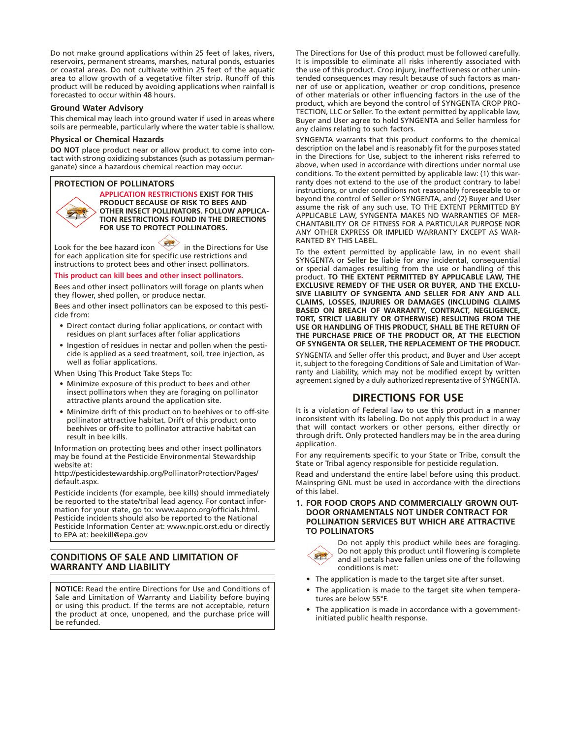Do not make ground applications within 25 feet of lakes, rivers, reservoirs, permanent streams, marshes, natural ponds, estuaries or coastal areas. Do not cultivate within 25 feet of the aquatic area to allow growth of a vegetative filter strip. Runoff of this product will be reduced by avoiding applications when rainfall is forecasted to occur within 48 hours.

### **Ground Water Advisory**

This chemical may leach into ground water if used in areas where soils are permeable, particularly where the water table is shallow.

### **Physical or Chemical Hazards**

**DO NOT** place product near or allow product to come into contact with strong oxidizing substances (such as potassium permanganate) since a hazardous chemical reaction may occur.

#### **PROTECTION OF POLLINATORS**



**APPLICATION RESTRICTIONS EXIST FOR THIS PRODUCT BECAUSE OF RISK TO BEES AND OTHER INSECT POLLINATORS. FOLLOW APPLICA-TION RESTRICTIONS FOUND IN THE DIRECTIONS FOR USE TO PROTECT POLLINATORS.**

Look for the bee hazard icon in the Directions for Use for each application site for specific use restrictions and instructions to protect bees and other insect pollinators.

#### **This product can kill bees and other insect pollinators.**

Bees and other insect pollinators will forage on plants when they flower, shed pollen, or produce nectar.

Bees and other insect pollinators can be exposed to this pesticide from:

- Direct contact during foliar applications, or contact with residues on plant surfaces after foliar applications
- Ingestion of residues in nectar and pollen when the pesticide is applied as a seed treatment, soil, tree injection, as well as foliar applications.

When Using This Product Take Steps To:

- Minimize exposure of this product to bees and other insect pollinators when they are foraging on pollinator attractive plants around the application site.
- Minimize drift of this product on to beehives or to off-site pollinator attractive habitat. Drift of this product onto beehives or off-site to pollinator attractive habitat can result in bee kills.

Information on protecting bees and other insect pollinators may be found at the Pesticide Environmental Stewardship website at:

http://pesticidestewardship.org/PollinatorProtection/Pages/ default.aspx.

Pesticide incidents (for example, bee kills) should immediately be reported to the state/tribal lead agency. For contact information for your state, go to: www.aapco.org/officials.html. Pesticide incidents should also be reported to the National Pesticide Information Center at: www.npic.orst.edu or directly to EPA at: beekill@epa.gov

## **CONDITIONS OF SALE AND LIMITATION OF WARRANTY AND LIABILITY**

**NOTICE:** Read the entire Directions for Use and Conditions of Sale and Limitation of Warranty and Liability before buying or using this product. If the terms are not acceptable, return the product at once, unopened, and the purchase price will be refunded.

The Directions for Use of this product must be followed carefully. It is impossible to eliminate all risks inherently associated with the use of this product. Crop injury, ineffectiveness or other unintended consequences may result because of such factors as manner of use or application, weather or crop conditions, presence of other materials or other influencing factors in the use of the product, which are beyond the control of SYNGENTA CROP PRO-TECTION, LLC or Seller. To the extent permitted by applicable law, Buyer and User agree to hold SYNGENTA and Seller harmless for any claims relating to such factors.

SYNGENTA warrants that this product conforms to the chemical description on the label and is reasonably fit for the purposes stated in the Directions for Use, subject to the inherent risks referred to above, when used in accordance with directions under normal use conditions. To the extent permitted by applicable law: (1) this warranty does not extend to the use of the product contrary to label instructions, or under conditions not reasonably foreseeable to or beyond the control of Seller or SYNGENTA, and (2) Buyer and User assume the risk of any such use. TO THE EXTENT PERMITTED BY APPLICABLE LAW, SYNGENTA MAKES NO WARRANTIES OF MER-CHANTABILITY OR OF FITNESS FOR A PARTICULAR PURPOSE NOR ANY OTHER EXPRESS OR IMPLIED WARRANTY EXCEPT AS WAR-RANTED BY THIS LABEL.

To the extent permitted by applicable law, in no event shall SYNGENTA or Seller be liable for any incidental, consequential or special damages resulting from the use or handling of this product. **TO THE EXTENT PERMITTED BY APPLICABLE LAW, THE EXCLUSIVE REMEDY OF THE USER OR BUYER, AND THE EXCLU-SIVE LIABILITY OF SYNGENTA AND SELLER FOR ANY AND ALL CLAIMS, LOSSES, INJURIES OR DAMAGES (INCLUDING CLAIMS BASED ON BREACH OF WARRANTY, CONTRACT, NEGLIGENCE, TORT, STRICT LIABILITY OR OTHERWISE) RESULTING FROM THE USE OR HANDLING OF THIS PRODUCT, SHALL BE THE RETURN OF THE PURCHASE PRICE OF THE PRODUCT OR, AT THE ELECTION OF SYNGENTA OR SELLER, THE REPLACEMENT OF THE PRODUCT.**

SYNGENTA and Seller offer this product, and Buyer and User accept it, subject to the foregoing Conditions of Sale and Limitation of Warranty and Liability, which may not be modified except by written agreement signed by a duly authorized representative of SYNGENTA.

## **DIRECTIONS FOR USE**

It is a violation of Federal law to use this product in a manner inconsistent with its labeling. Do not apply this product in a way that will contact workers or other persons, either directly or through drift. Only protected handlers may be in the area during application.

For any requirements specific to your State or Tribe, consult the State or Tribal agency responsible for pesticide regulation.

Read and understand the entire label before using this product. Mainspring GNL must be used in accordance with the directions of this label.

**1. FOR FOOD CROPS AND COMMERCIALLY GROWN OUT-DOOR ORNAMENTALS NOT UNDER CONTRACT FOR POLLINATION SERVICES BUT WHICH ARE ATTRACTIVE TO POLLINATORS**



Do not apply this product while bees are foraging. Do not apply this product until flowering is complete and all petals have fallen unless one of the following conditions is met:

- The application is made to the target site after sunset.
- The application is made to the target site when temperatures are below 55°F.
- The application is made in accordance with a governmentinitiated public health response.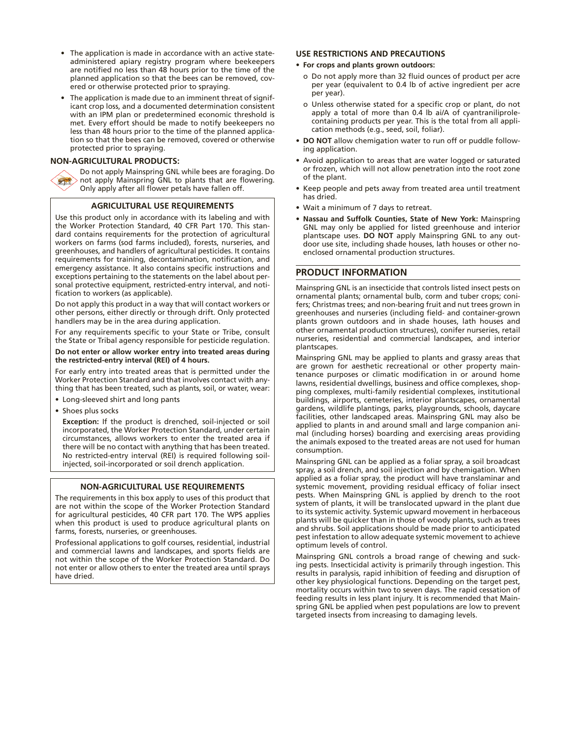- The application is made in accordance with an active stateadministered apiary registry program where beekeepers are notified no less than 48 hours prior to the time of the planned application so that the bees can be removed, covered or otherwise protected prior to spraying.
- The application is made due to an imminent threat of significant crop loss, and a documented determination consistent with an IPM plan or predetermined economic threshold is met. Every effort should be made to notify beekeepers no less than 48 hours prior to the time of the planned application so that the bees can be removed, covered or otherwise protected prior to spraying.

## **NON-AGRICULTURAL PRODUCTS:**

Do not apply Mainspring GNL while bees are foraging. Do not apply Mainspring GNL to plants that are flowering. Only apply after all flower petals have fallen off.

## **AGRICULTURAL USE REQUIREMENTS**

Use this product only in accordance with its labeling and with the Worker Protection Standard, 40 CFR Part 170. This standard contains requirements for the protection of agricultural workers on farms (sod farms included), forests, nurseries, and greenhouses, and handlers of agricultural pesticides. It contains requirements for training, decontamination, notification, and emergency assistance. It also contains specific instructions and exceptions pertaining to the statements on the label about personal protective equipment, restricted-entry interval, and notification to workers (as applicable).

Do not apply this product in a way that will contact workers or other persons, either directly or through drift. Only protected handlers may be in the area during application.

For any requirements specific to your State or Tribe, consult the State or Tribal agency responsible for pesticide regulation.

**Do not enter or allow worker entry into treated areas during the restricted-entry interval (REI) of 4 hours.**

For early entry into treated areas that is permitted under the Worker Protection Standard and that involves contact with anything that has been treated, such as plants, soil, or water, wear:

• Long-sleeved shirt and long pants

• Shoes plus socks

**Exception:** If the product is drenched, soil-injected or soil incorporated, the Worker Protection Standard, under certain circumstances, allows workers to enter the treated area if there will be no contact with anything that has been treated. No restricted-entry interval (REI) is required following soilinjected, soil-incorporated or soil drench application.

#### **NON-AGRICULTURAL USE REQUIREMENTS**

The requirements in this box apply to uses of this product that are not within the scope of the Worker Protection Standard for agricultural pesticides, 40 CFR part 170. The WPS applies when this product is used to produce agricultural plants on farms, forests, nurseries, or greenhouses.

Professional applications to golf courses, residential, industrial and commercial lawns and landscapes, and sports fields are not within the scope of the Worker Protection Standard. Do not enter or allow others to enter the treated area until sprays have dried.

### **USE RESTRICTIONS AND PRECAUTIONS**

#### **• For crops and plants grown outdoors:**

- o Do not apply more than 32 fluid ounces of product per acre per year (equivalent to 0.4 lb of active ingredient per acre per year).
- o Unless otherwise stated for a specific crop or plant, do not apply a total of more than 0.4 lb ai/A of cyantraniliprolecontaining products per year. This is the total from all application methods (e.g., seed, soil, foliar).
- **• DO NOT** allow chemigation water to run off or puddle following application.
- Avoid application to areas that are water logged or saturated or frozen, which will not allow penetration into the root zone of the plant.
- Keep people and pets away from treated area until treatment has dried.
- • Wait a minimum of 7 days to retreat.
- **• Nassau and Suffolk Counties, State of New York:** Mainspring GNL may only be applied for listed greenhouse and interior plantscape uses. **DO NOT** apply Mainspring GNL to any outdoor use site, including shade houses, lath houses or other noenclosed ornamental production structures.

## **PRODUCT INFORMATION**

Mainspring GNL is an insecticide that controls listed insect pests on ornamental plants; ornamental bulb, corm and tuber crops; conifers; Christmas trees; and non-bearing fruit and nut trees grown in greenhouses and nurseries (including field- and container-grown plants grown outdoors and in shade houses, lath houses and other ornamental production structures), conifer nurseries, retail nurseries, residential and commercial landscapes, and interior plantscapes.

Mainspring GNL may be applied to plants and grassy areas that are grown for aesthetic recreational or other property maintenance purposes or climatic modification in or around home lawns, residential dwellings, business and office complexes, shopping complexes, multi-family residential complexes, institutional buildings, airports, cemeteries, interior plantscapes, ornamental gardens, wildlife plantings, parks, playgrounds, schools, daycare facilities, other landscaped areas. Mainspring GNL may also be applied to plants in and around small and large companion animal (including horses) boarding and exercising areas providing the animals exposed to the treated areas are not used for human consumption.

Mainspring GNL can be applied as a foliar spray, a soil broadcast spray, a soil drench, and soil injection and by chemigation. When applied as a foliar spray, the product will have translaminar and systemic movement, providing residual efficacy of foliar insect pests. When Mainspring GNL is applied by drench to the root system of plants, it will be translocated upward in the plant due to its systemic activity. Systemic upward movement in herbaceous plants will be quicker than in those of woody plants, such as trees and shrubs. Soil applications should be made prior to anticipated pest infestation to allow adequate systemic movement to achieve optimum levels of control.

Mainspring GNL controls a broad range of chewing and sucking pests. Insecticidal activity is primarily through ingestion. This results in paralysis, rapid inhibition of feeding and disruption of other key physiological functions. Depending on the target pest, mortality occurs within two to seven days. The rapid cessation of feeding results in less plant injury. It is recommended that Mainspring GNL be applied when pest populations are low to prevent targeted insects from increasing to damaging levels.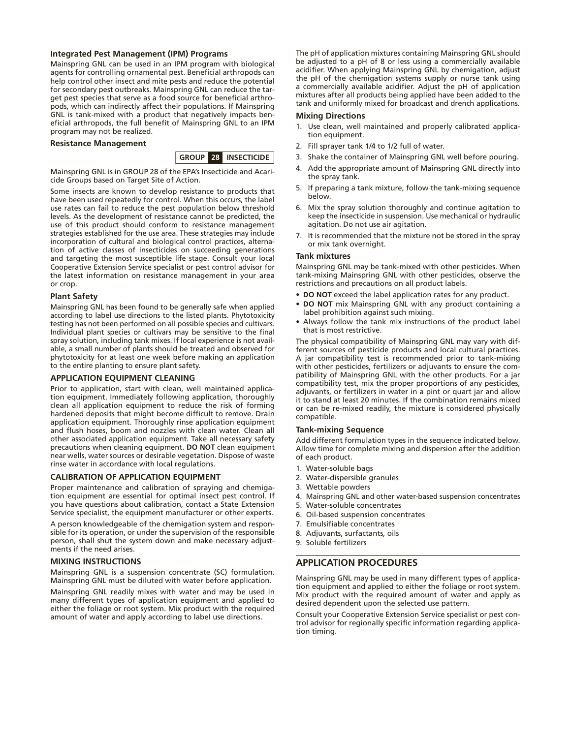## **Integrated Pest Management (IPM) Programs**

Mainspring GNL can be used in an IPM program with biological agents for controlling ornamental pest. Beneficial arthropods can help control other insect and mite pests and reduce the potential for secondary pest outbreaks. Mainspring GNL can reduce the target pest species that serve as a food source for beneficial arthropods, which can indirectly affect their populations. If Mainspring GNL is tank-mixed with a product that negatively impacts beneficial arthropods, the full benefit of Mainspring GNL to an IPM program may not be realized.

#### **Resistance Management**



Mainspring GNL is in GROUP 28 of the EPA's Insecticide and Acaricide Groups based on Target Site of Action.

Some insects are known to develop resistance to products that have been used repeatedly for control. When this occurs, the label use rates can fail to reduce the pest population below threshold levels. As the development of resistance cannot be predicted, the use of this product should conform to resistance management strategies established for the use area. These strategies may include incorporation of cultural and biological control practices, alternation of active classes of insecticides on succeeding generations and targeting the most susceptible life stage. Consult your local Cooperative Extension Service specialist or pest control advisor for the latest information on resistance management in your area or crop.

#### **Plant Safety**

Mainspring GNL has been found to be generally safe when applied according to label use directions to the listed plants. Phytotoxicity testing has not been performed on all possible species and cultivars. Individual plant species or cultivars may be sensitive to the final spray solution, including tank mixes. If local experience is not available, a small number of plants should be treated and observed for phytotoxicity for at least one week before making an application to the entire planting to ensure plant safety.

#### **APPLICATION EQUIPMENT CLEANING**

Prior to application, start with clean, well maintained application equipment. Immediately following application, thoroughly clean all application equipment to reduce the risk of forming hardened deposits that might become difficult to remove. Drain application equipment. Thoroughly rinse application equipment and flush hoses, boom and nozzles with clean water. Clean all other associated application equipment. Take all necessary safety precautions when cleaning equipment. **DO NOT** clean equipment near wells, water sources or desirable vegetation. Dispose of waste rinse water in accordance with local regulations.

#### **CALIBRATION OF APPLICATION EQUIPMENT**

Proper maintenance and calibration of spraying and chemigation equipment are essential for optimal insect pest control. If you have questions about calibration, contact a State Extension Service specialist, the equipment manufacturer or other experts.

A person knowledgeable of the chemigation system and responsible for its operation, or under the supervision of the responsible person, shall shut the system down and make necessary adjustments if the need arises.

#### **MIXING INSTRUCTIONS**

Mainspring GNL is a suspension concentrate (SC) formulation. Mainspring GNL must be diluted with water before application.

Mainspring GNL readily mixes with water and may be used in many different types of application equipment and applied to either the foliage or root system. Mix product with the required amount of water and apply according to label use directions.

The pH of application mixtures containing Mainspring GNL should be adjusted to a pH of 8 or less using a commercially available acidifier. When applying Mainspring GNL by chemigation, adjust the pH of the chemigation systems supply or nurse tank using a commercially available acidifier. Adjust the pH of application mixtures after all products being applied have been added to the tank and uniformly mixed for broadcast and drench applications.

#### **Mixing Directions**

- 1. Use clean, well maintained and properly calibrated application equipment.
- 2. Fill sprayer tank 1/4 to 1/2 full of water.
- 3. Shake the container of Mainspring GNL well before pouring.
- 4. Add the appropriate amount of Mainspring GNL directly into the spray tank.
- 5. If preparing a tank mixture, follow the tank-mixing sequence below.
- 6. Mix the spray solution thoroughly and continue agitation to keep the insecticide in suspension. Use mechanical or hydraulic agitation. Do not use air agitation.
- 7. It is recommended that the mixture not be stored in the spray or mix tank overnight.

#### **Tank mixtures**

Mainspring GNL may be tank-mixed with other pesticides. When tank-mixing Mainspring GNL with other pesticides, observe the restrictions and precautions on all product labels.

- **DO NOT** exceed the label application rates for any product.
- **DO NOT** mix Mainspring GNL with any product containing a label prohibition against such mixing.
- Always follow the tank mix instructions of the product label that is most restrictive.

The physical compatibility of Mainspring GNL may vary with different sources of pesticide products and local cultural practices. A jar compatibility test is recommended prior to tank-mixing with other pesticides, fertilizers or adjuvants to ensure the compatibility of Mainspring GNL with the other products. For a jar compatibility test, mix the proper proportions of any pesticides, adiuvants, or fertilizers in water in a pint or quart jar and allow it to stand at least 20 minutes. If the combination remains mixed or can be re-mixed readily, the mixture is considered physically compatible.

## **Tank-mixing Sequence**

Add different formulation types in the sequence indicated below. Allow time for complete mixing and dispersion after the addition of each product.

- 1. Water-soluble bags
- 2. Water-dispersible granules
- 3. Wettable powders
- 4. Mainspring GNL and other water-based suspension concentrates
- 5. Water-soluble concentrates
- 6. Oil-based suspension concentrates
- 7. Emulsifiable concentrates
- 8. Adjuvants, surfactants, oils
- 9. Soluble fertilizers

## **APPLICATION PROCEDURES**

Mainspring GNL may be used in many different types of application equipment and applied to either the foliage or root system. Mix product with the required amount of water and apply as desired dependent upon the selected use pattern.

Consult your Cooperative Extension Service specialist or pest control advisor for regionally specific information regarding application timing.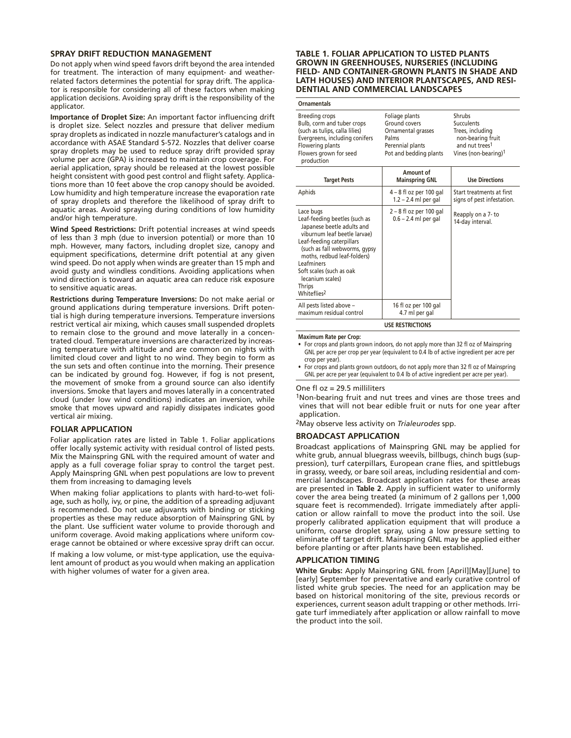#### **SPRAY DRIFT REDUCTION MANAGEMENT**

Do not apply when wind speed favors drift beyond the area intended for treatment. The interaction of many equipment- and weatherrelated factors determines the potential for spray drift. The applicator is responsible for considering all of these factors when making application decisions. Avoiding spray drift is the responsibility of the applicator.

**Importance of Droplet Size:** An important factor influencing drift is droplet size. Select nozzles and pressure that deliver medium spray droplets as indicated in nozzle manufacturer's catalogs and in accordance with ASAE Standard S-572. Nozzles that deliver coarse spray droplets may be used to reduce spray drift provided spray volume per acre (GPA) is increased to maintain crop coverage. For aerial application, spray should be released at the lowest possible height consistent with good pest control and flight safety. Applications more than 10 feet above the crop canopy should be avoided. Low humidity and high temperature increase the evaporation rate of spray droplets and therefore the likelihood of spray drift to aquatic areas. Avoid spraying during conditions of low humidity and/or high temperature.

**Wind Speed Restrictions:** Drift potential increases at wind speeds of less than 3 mph (due to inversion potential) or more than 10 mph. However, many factors, including droplet size, canopy and equipment specifications, determine drift potential at any given wind speed. Do not apply when winds are greater than 15 mph and avoid gusty and windless conditions. Avoiding applications when wind direction is toward an aquatic area can reduce risk exposure to sensitive aquatic areas.

**Restrictions during Temperature Inversions:** Do not make aerial or ground applications during temperature inversions. Drift potential is high during temperature inversions. Temperature inversions restrict vertical air mixing, which causes small suspended droplets to remain close to the ground and move laterally in a concentrated cloud. Temperature inversions are characterized by increasing temperature with altitude and are common on nights with limited cloud cover and light to no wind. They begin to form as the sun sets and often continue into the morning. Their presence can be indicated by ground fog. However, if fog is not present, the movement of smoke from a ground source can also identify inversions. Smoke that layers and moves laterally in a concentrated cloud (under low wind conditions) indicates an inversion, while smoke that moves upward and rapidly dissipates indicates good vertical air mixing.

## **FOLIAR APPLICATION**

Foliar application rates are listed in Table 1. Foliar applications offer locally systemic activity with residual control of listed pests. Mix the Mainspring GNL with the required amount of water and apply as a full coverage foliar spray to control the target pest. Apply Mainspring GNL when pest populations are low to prevent them from increasing to damaging levels

When making foliar applications to plants with hard-to-wet foliage, such as holly, ivy, or pine, the addition of a spreading adjuvant is recommended. Do not use adjuvants with binding or sticking properties as these may reduce absorption of Mainspring GNL by the plant. Use sufficient water volume to provide thorough and uniform coverage. Avoid making applications where uniform coverage cannot be obtained or where excessive spray drift can occur.

If making a low volume, or mist-type application, use the equivalent amount of product as you would when making an application with higher volumes of water for a given area.

#### **TABLE 1. FOLIAR APPLICATION TO LISTED PLANTS GROWN IN GREENHOUSES, NURSERIES (INCLUDING FIELD- AND CONTAINER-GROWN PLANTS IN SHADE AND LATH HOUSES) AND INTERIOR PLANTSCAPES, AND RESI-DENTIAL AND COMMERCIAL LANDSCAPES**

## **Ornamentals**

| Breeding crops<br>Bulb, corm and tuber crops<br>(such as tulips, calla lilies)<br>Evergreens, including conifers<br>Flowering plants<br>Flowers grown for seed<br>production                                                                                                                             | Foliage plants<br>Ground covers<br>Ornamental grasses<br>Palms<br>Perennial plants<br>Pot and bedding plants | Shrubs<br>Succulents<br>Trees, including<br>non-bearing fruit<br>and nut trees <sup>1</sup><br>Vines (non-bearing) <sup>1</sup> |  |  |  |
|----------------------------------------------------------------------------------------------------------------------------------------------------------------------------------------------------------------------------------------------------------------------------------------------------------|--------------------------------------------------------------------------------------------------------------|---------------------------------------------------------------------------------------------------------------------------------|--|--|--|
| <b>Target Pests</b>                                                                                                                                                                                                                                                                                      | Amount of<br><b>Mainspring GNL</b>                                                                           | <b>Use Directions</b>                                                                                                           |  |  |  |
| Aphids                                                                                                                                                                                                                                                                                                   | 4 – 8 fl oz per 100 gal<br>$1.2 - 2.4$ ml per gal                                                            | Start treatments at first<br>signs of pest infestation.                                                                         |  |  |  |
| Lace bugs<br>Leaf-feeding beetles (such as<br>Japanese beetle adults and<br>viburnum leaf beetle larvae)<br>Leaf-feeding caterpillars<br>(such as fall webworms, gypsy<br>moths, redbud leaf-folders)<br>Leafminers<br>Soft scales (such as oak<br>lecanium scales)<br>Thrips<br>Whiteflies <sup>2</sup> | $2 - 8$ fl oz per 100 gal<br>$0.6 - 2.4$ ml per gal                                                          | Reapply on a 7- to<br>14-day interval.                                                                                          |  |  |  |
| All pests listed above -<br>maximum residual control                                                                                                                                                                                                                                                     | 16 fl oz per 100 gal<br>4.7 ml per gal                                                                       |                                                                                                                                 |  |  |  |
| <b>USE RESTRICTIONS</b>                                                                                                                                                                                                                                                                                  |                                                                                                              |                                                                                                                                 |  |  |  |

**Maximum Rate per Crop:**

For crops and plants grown indoors, do not apply more than 32 fl oz of Mainspring GNL per acre per crop per year (equivalent to 0.4 lb of active ingredient per acre per crop per year).

For crops and plants grown outdoors, do not apply more than 32 fl oz of Mainspring GNL per acre per year (equivalent to 0.4 lb of active ingredient per acre per year).

#### One fl oz = 29.5 milliliters

1Non-bearing fruit and nut trees and vines are those trees and vines that will not bear edible fruit or nuts for one year after application.

2May observe less activity on *Trialeurodes* spp.

#### **BROADCAST APPLICATION**

Broadcast applications of Mainspring GNL may be applied for white grub, annual bluegrass weevils, billbugs, chinch bugs (suppression), turf caterpillars, European crane flies, and spittlebugs in grassy, weedy, or bare soil areas, including residential and commercial landscapes. Broadcast application rates for these areas are presented in **Table 2**. Apply in sufficient water to uniformly cover the area being treated (a minimum of 2 gallons per 1,000 square feet is recommended). Irrigate immediately after application or allow rainfall to move the product into the soil. Use properly calibrated application equipment that will produce a uniform, coarse droplet spray, using a low pressure setting to eliminate off target drift. Mainspring GNL may be applied either before planting or after plants have been established.

#### **APPLICATION TIMING**

**White Grubs:** Apply Mainspring GNL from [April][May][June] to [early] September for preventative and early curative control of listed white grub species. The need for an application may be based on historical monitoring of the site, previous records or experiences, current season adult trapping or other methods. Irrigate turf immediately after application or allow rainfall to move the product into the soil.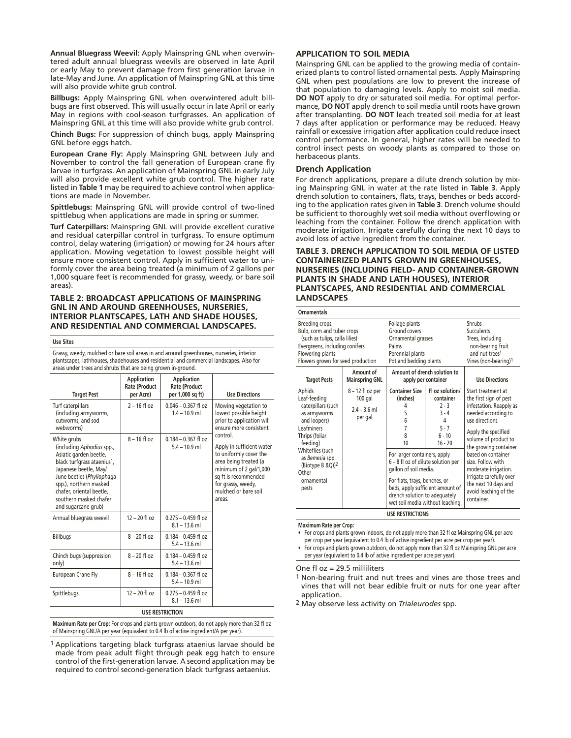**Annual Bluegrass Weevil:** Apply Mainspring GNL when overwintered adult annual bluegrass weevils are observed in late April or early May to prevent damage from first generation larvae in late-May and June. An application of Mainspring GNL at this time will also provide white grub control.

**Billbugs:** Apply Mainspring GNL when overwintered adult billbugs are first observed. This will usually occur in late April or early May in regions with cool-season turfgrasses. An application of Mainspring GNL at this time will also provide white grub control.

**Chinch Bugs:** For suppression of chinch bugs, apply Mainspring GNL before eggs hatch.

**European Crane Fly:** Apply Mainspring GNL between July and November to control the fall generation of European crane fly larvae in turfgrass. An application of Mainspring GNL in early July will also provide excellent white grub control. The higher rate listed in **Table 1** may be required to achieve control when applications are made in November.

**Spittlebugs:** Mainspring GNL will provide control of two-lined spittlebug when applications are made in spring or summer.

**Turf Caterpillars:** Mainspring GNL will provide excellent curative and residual caterpillar control in turfgrass. To ensure optimum control, delay watering (irrigation) or mowing for 24 hours after application. Mowing vegetation to lowest possible height will ensure more consistent control. Apply in sufficient water to uniformly cover the area being treated (a minimum of 2 gallons per 1,000 square feet is recommended for grassy, weedy, or bare soil areas).

## **TABLE 2: BROADCAST APPLICATIONS OF MAINSPRING GNL IN AND AROUND GREENHOUSES, NURSERIES, INTERIOR PLANTSCAPES, LATH AND SHADE HOUSES, AND RESIDENTIAL AND COMMERCIAL LANDSCAPES.**

#### **Use Sites**

Grassy, weedy, mulched or bare soil areas in and around greenhouses, nurseries, interior plantscapes, lathhouses, shadehouses and residential and commercial landscapes. Also for areas under trees and shrubs that are being grown in-ground.

| <b>Target Pest</b>                                                                                                                                                                                                                                                         | <b>Application</b><br><b>Rate (Product</b><br>per Acre) | <b>Application</b><br><b>Rate (Product</b><br>per 1,000 sq ft) | <b>Use Directions</b>                                                                                                                                                                              |
|----------------------------------------------------------------------------------------------------------------------------------------------------------------------------------------------------------------------------------------------------------------------------|---------------------------------------------------------|----------------------------------------------------------------|----------------------------------------------------------------------------------------------------------------------------------------------------------------------------------------------------|
| Turf caterpillars<br>(including armyworms,<br>cutworms, and sod<br>webworms)                                                                                                                                                                                               | $2 - 16$ fl oz                                          | $0.046 - 0.367$ fl oz<br>$1.4 - 10.9$ ml                       | Mowing vegetation to<br>lowest possible height<br>prior to application will<br>ensure more consistent                                                                                              |
| White grubs<br>(including Aphodius spp.,<br>Asiatic garden beetle,<br>black turfgrass ataenius <sup>1</sup> ,<br>Japanese beetle, May/<br>June beetles (Phyllophaga<br>spp.), northern masked<br>chafer, oriental beetle.<br>southern masked chafer<br>and sugarcane grub) | $8 - 16$ fl oz                                          | $0.184 - 0.367$ fl oz<br>$5.4 - 10.9$ ml                       | control.<br>Apply in sufficient water<br>to uniformly cover the<br>area being treated (a<br>minimum of 2 gal/1,000<br>sq ft is recommended<br>for grassy, weedy,<br>mulched or bare soil<br>areas. |
| Annual bluegrass weevil                                                                                                                                                                                                                                                    | $12 - 20$ fl oz                                         | $0.275 - 0.459$ fl oz<br>$8.1 - 13.6$ ml                       |                                                                                                                                                                                                    |
| <b>Billbugs</b>                                                                                                                                                                                                                                                            | $8 - 20$ fl oz                                          | $0.184 - 0.459$ fl oz<br>$5.4 - 13.6$ ml                       |                                                                                                                                                                                                    |
| Chinch bugs (suppression<br>only)                                                                                                                                                                                                                                          | $8 - 20$ fl oz                                          | $0.184 - 0.459$ fl oz<br>$5.4 - 13.6$ ml                       |                                                                                                                                                                                                    |
| European Crane Fly                                                                                                                                                                                                                                                         | $8 - 16$ fl oz                                          | $0.184 - 0.367$ fl oz<br>$5.4 - 10.9$ ml                       |                                                                                                                                                                                                    |
| Spittlebugs                                                                                                                                                                                                                                                                | $12 - 20$ fl oz                                         | $0.275 - 0.459$ fl oz<br>$8.1 - 13.6$ ml                       |                                                                                                                                                                                                    |

#### **USE RESTRICTION**

**Maximum Rate per Crop:** For crops and plants grown outdoors, do not apply more than 32 fl oz of Mainspring GNL/A per year (equivalent to 0.4 lb of active ingredient/A per year).

1 Applications targeting black turfgrass ataenius larvae should be made from peak adult flight through peak egg hatch to ensure control of the first-generation larvae. A second application may be required to control second-generation black turfgrass aetaenius.

#### **APPLICATION TO SOIL MEDIA**

Mainspring GNL can be applied to the growing media of containerized plants to control listed ornamental pests. Apply Mainspring GNL when pest populations are low to prevent the increase of that population to damaging levels. Apply to moist soil media. **DO NOT** apply to dry or saturated soil media. For optimal performance, **DO NOT** apply drench to soil media until roots have grown after transplanting. **DO NOT** leach treated soil media for at least 7 days after application or performance may be reduced. Heavy rainfall or excessive irrigation after application could reduce insect control performance. In general, higher rates will be needed to control insect pests on woody plants as compared to those on herbaceous plants.

## **Drench Application**

For drench applications, prepare a dilute drench solution by mixing Mainspring GNL in water at the rate listed in **Table 3**. Apply drench solution to containers, flats, trays, benches or beds according to the application rates given in **Table 3**. Drench volume should be sufficient to thoroughly wet soil media without overflowing or leaching from the container. Follow the drench application with moderate irrigation. Irrigate carefully during the next 10 days to avoid loss of active ingredient from the container.

## **TABLE 3. DRENCH APPLICATION TO SOIL MEDIA OF LISTED CONTAINERIZED PLANTS GROWN IN GREENHOUSES, NURSERIES (INCLUDING FIELD- AND CONTAINER-GROWN PLANTS IN SHADE AND LATH HOUSES), INTERIOR PLANTSCAPES, AND RESIDENTIAL AND COMMERCIAL LANDSCAPES**

| <b>Ornamentals</b>                                                                                                                                                                                                               |                                                         |                                                                                                                                                                                                                                   |                                                                                                                                                                     |                                                                                                                                                                                                                                                                                                                                                        |
|----------------------------------------------------------------------------------------------------------------------------------------------------------------------------------------------------------------------------------|---------------------------------------------------------|-----------------------------------------------------------------------------------------------------------------------------------------------------------------------------------------------------------------------------------|---------------------------------------------------------------------------------------------------------------------------------------------------------------------|--------------------------------------------------------------------------------------------------------------------------------------------------------------------------------------------------------------------------------------------------------------------------------------------------------------------------------------------------------|
| <b>Breeding crops</b><br>Bulb, corm and tuber crops<br>(such as tulips, calla lilies)<br>Evergreens, including conifers<br>Flowering plants<br>Flowers grown for seed production                                                 |                                                         | Foliage plants<br>Ground covers<br>Ornamental grasses<br>Palms<br>Perennial plants<br>Pot and bedding plants                                                                                                                      |                                                                                                                                                                     | Shrubs<br><b>Succulents</b><br>Trees, including<br>non-bearing fruit<br>and nut trees <sup>1</sup><br>Vines (non-bearing)1                                                                                                                                                                                                                             |
| <b>Target Pests</b>                                                                                                                                                                                                              | Amount of<br><b>Mainspring GNL</b>                      |                                                                                                                                                                                                                                   | Amount of drench solution to<br>apply per container                                                                                                                 | <b>Use Directions</b>                                                                                                                                                                                                                                                                                                                                  |
| Aphids<br>Leaf-feeding<br>caterpillars (such<br>as armyworms<br>and loopers)<br>Leafminers<br>Thrips (foliar<br>feeding)<br>Whiteflies (such<br>as Bemesia spp.<br>(Biotype B & Q)) <sup>2</sup><br>Other<br>ornamental<br>pests | 8 - 12 fl oz per<br>$100$ gal<br>$24 - 36$ m<br>per gal | <b>Container Size</b><br>(inches)<br>4<br>5<br>6<br>7<br>8<br>10<br>For larger containers, apply<br>6 - 8 fl oz of dilute solution per<br>gallon of soil media.<br>For flats, trays, benches, or<br>drench solution to adequately | Fl oz solution/<br>container<br>$2 - 3$<br>$3 - 4$<br>4<br>$5 - 7$<br>$6 - 10$<br>$16 - 20$<br>beds, apply sufficient amount of<br>wet soil media without leaching. | Start treatment at<br>the first sign of pest<br>infestation. Reapply as<br>needed according to<br>use directions.<br>Apply the specified<br>volume of product to<br>the growing container<br>based on container<br>size. Follow with<br>moderate irrigation.<br>Irrigate carefully over<br>the next 10 days and<br>avoid leaching of the<br>container. |
|                                                                                                                                                                                                                                  |                                                         | <b>USE RESTRICTIONS</b>                                                                                                                                                                                                           |                                                                                                                                                                     |                                                                                                                                                                                                                                                                                                                                                        |

#### **Maximum Rate per Crop:**

• For crops and plants grown indoors, do not apply more than 32 fl oz Mainspring GNL per acre

per crop per year (equivalent to 0.4 lb of active ingredient per acre per crop per year). • For crops and plants grown outdoors, do not apply more than 32 fl oz Mainspring GNL per acre

per year (equivalent to 0.4 lb of active ingredient per acre per year).

One fl oz = 29.5 milliliters

1 Non-bearing fruit and nut trees and vines are those trees and vines that will not bear edible fruit or nuts for one year after application.

2 May observe less activity on *Trialeurodes* spp.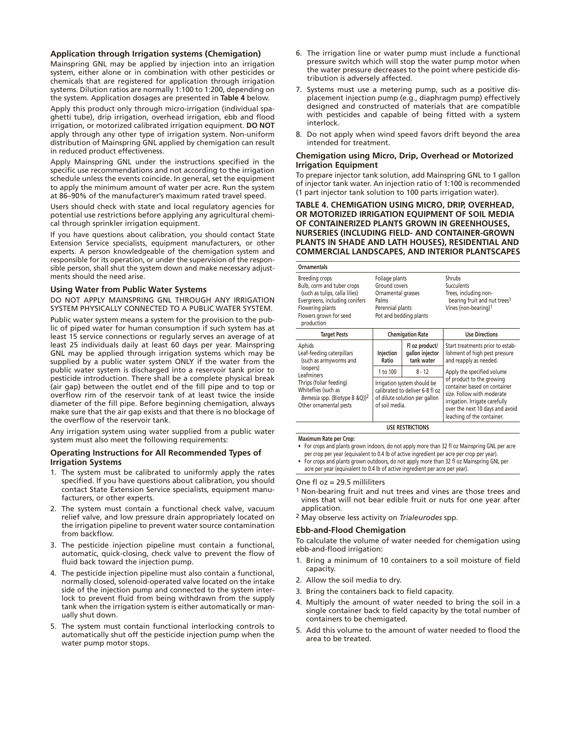## **Application through Irrigation systems (Chemigation)**

Mainspring GNL may be applied by injection into an irrigation system, either alone or in combination with other pesticides or chemicals that are registered for application through irrigation systems. Dilution ratios are normally 1:100 to 1:200, depending on the system. Application dosages are presented in **Table 4** below.

Apply this product only through micro-irrigation (individual spaghetti tube), drip irrigation, overhead irrigation, ebb and flood irrigation, or motorized calibrated irrigation equipment. **DO NOT** apply through any other type of irrigation system. Non-uniform distribution of Mainspring GNL applied by chemigation can result in reduced product effectiveness.

Apply Mainspring GNL under the instructions specified in the specific use recommendations and not according to the irrigation schedule unless the events coincide. In general, set the equipment to apply the minimum amount of water per acre. Run the system at 86–90% of the manufacturer's maximum rated travel speed.

Users should check with state and local regulatory agencies for potential use restrictions before applying any agricultural chemical through sprinkler irrigation equipment.

If you have questions about calibration, you should contact State Extension Service specialists, equipment manufacturers, or other experts. A person knowledgeable of the chemigation system and responsible for its operation, or under the supervision of the responsible person, shall shut the system down and make necessary adjustments should the need arise.

#### **Using Water from Public Water Systems**

DO NOT APPLY MAINSPRING GNL THROUGH ANY IRRIGATION SYSTEM PHYSICALLY CONNECTED TO A PUBLIC WATER SYSTEM.

Public water system means a system for the provision to the public of piped water for human consumption if such system has at least 15 service connections or regularly serves an average of at least 25 individuals daily at least 60 days per year. Mainspring GNL may be applied through irrigation systems which may be supplied by a public water system ONLY if the water from the public water system is discharged into a reservoir tank prior to pesticide introduction. There shall be a complete physical break (air gap) between the outlet end of the fill pipe and to top or overflow rim of the reservoir tank of at least twice the inside diameter of the fill pipe. Before beginning chemigation, always make sure that the air gap exists and that there is no blockage of the overflow of the reservoir tank.

Any irrigation system using water supplied from a public water system must also meet the following requirements:

#### **Operating Instructions for All Recommended Types of Irrigation Systems**

- 1. The system must be calibrated to uniformly apply the rates specified. If you have questions about calibration, you should contact State Extension Service specialists, equipment manufacturers, or other experts.
- 2. The system must contain a functional check valve, vacuum relief valve, and low pressure drain appropriately located on the irrigation pipeline to prevent water source contamination from backflow.
- 3. The pesticide injection pipeline must contain a functional, automatic, quick-closing, check valve to prevent the flow of fluid back toward the injection pump.
- 4. The pesticide injection pipeline must also contain a functional, normally closed, solenoid-operated valve located on the intake side of the injection pump and connected to the system interlock to prevent fluid from being withdrawn from the supply tank when the irrigation system is either automatically or manually shut down.
- 5. The system must contain functional interlocking controls to automatically shut off the pesticide injection pump when the water pump motor stops.
- 6. The irrigation line or water pump must include a functional pressure switch which will stop the water pump motor when the water pressure decreases to the point where pesticide distribution is adversely affected.
- 7. Systems must use a metering pump, such as a positive displacement injection pump (e.g., diaphragm pump) effectively designed and constructed of materials that are compatible with pesticides and capable of being fitted with a system interlock.
- 8. Do not apply when wind speed favors drift beyond the area intended for treatment.

## **Chemigation using Micro, Drip, Overhead or Motorized Irrigation Equipment**

To prepare injector tank solution, add Mainspring GNL to 1 gallon of injector tank water. An injection ratio of 1:100 is recommended (1 part injector tank solution to 100 parts irrigation water).

## **TABLE 4. CHEMIGATION USING MICRO, DRIP, OVERHEAD, OR MOTORIZED IRRIGATION EQUIPMENT OF SOIL MEDIA OF CONTAINERIZED PLANTS GROWN IN GREENHOUSES, NURSERIES (INCLUDING FIELD- AND CONTAINER-GROWN PLANTS IN SHADE AND LATH HOUSES), RESIDENTIAL AND COMMERCIAL LANDSCAPES, AND INTERIOR PLANTSCAPES**

| <b>Ornamentals</b>                                                                                                                                                           |                                                                                                                   |                                                 |                                                                                                                                                                                            |
|------------------------------------------------------------------------------------------------------------------------------------------------------------------------------|-------------------------------------------------------------------------------------------------------------------|-------------------------------------------------|--------------------------------------------------------------------------------------------------------------------------------------------------------------------------------------------|
| Breeding crops<br>Bulb, corm and tuber crops<br>(such as tulips, calla lilies)<br>Evergreens, including conifers<br>Flowering plants<br>Flowers grown for seed<br>production | Foliage plants<br>Ground covers<br>Ornamental grasses<br>Palms<br>Perennial plants<br>Pot and bedding plants      |                                                 | Shrubs<br><b>Succulents</b><br>Trees, including non-<br>bearing fruit and nut trees <sup>1</sup><br>Vines (non-bearing)1                                                                   |
| <b>Target Pests</b>                                                                                                                                                          | <b>Chemigation Rate</b>                                                                                           |                                                 | <b>Use Directions</b>                                                                                                                                                                      |
| Aphids<br>Leaf-feeding caterpillars<br>(such as armyworms and                                                                                                                | Injection<br>Ratio                                                                                                | Fl oz product/<br>gallon injector<br>tank water | Start treatments prior to estab-<br>lishment of high pest pressure<br>and reapply as needed.                                                                                               |
| loopers)<br>Leafminers                                                                                                                                                       | 1 to 100                                                                                                          | $8 - 12$                                        | Apply the specified volume                                                                                                                                                                 |
| Thrips (foliar feeding)<br>Whiteflies (such as<br>Bemesia spp. (Biotype B &Q)) <sup>2</sup><br>Other ornamental pests                                                        | Irrigation system should be<br>calibrated to deliver 6-8 fl oz<br>of dilute solution per gallon<br>of soil media. |                                                 | of product to the growing<br>container based on container<br>size. Follow with moderate<br>irrigation. Irrigate carefully<br>over the next 10 days and avoid<br>leaching of the container. |

### **USE RESTRICTIONS**

#### **Maximum Rate per Crop:**

- • For crops and plants grown indoors, do not apply more than 32 fl oz Mainspring GNL per acre per crop per year (equivalent to 0.4 lb of active ingredient per acre per crop per year).
- For crops and plants grown outdoors, do not apply more than 32 fl oz Mainspring GNL per acre per year (equivalent to 0.4 lb of active ingredient per acre per year).

#### One fl oz = 29.5 milliliters

- 1 Non-bearing fruit and nut trees and vines are those trees and vines that will not bear edible fruit or nuts for one year after application.
- 2 May observe less activity on *Trialeurodes* spp.

#### **Ebb-and-Flood Chemigation**

To calculate the volume of water needed for chemigation using ebb-and-flood irrigation:

- 1. Bring a minimum of 10 containers to a soil moisture of field capacity.
- 2. Allow the soil media to dry.
- 3. Bring the containers back to field capacity.
- 4. Multiply the amount of water needed to bring the soil in a single container back to field capacity by the total number of containers to be chemigated.
- 5. Add this volume to the amount of water needed to flood the area to be treated.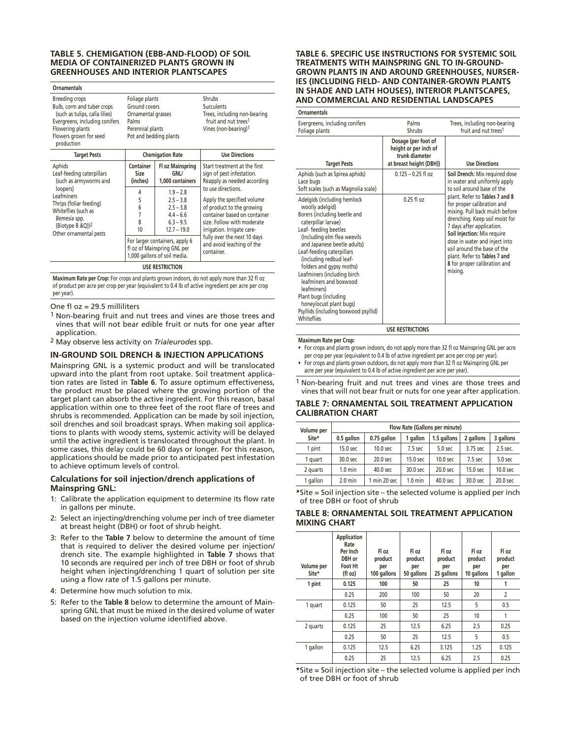## **TABLE 5. CHEMIGATION (EBB-AND-FLOOD) OF SOIL MEDIA OF CONTAINERIZED PLANTS GROWN IN GREENHOUSES AND INTERIOR PLANTSCAPES**

| <b>Ornamentals</b>                                                                                                                                                                  |                                                                                                              |                                                                                          |                                                                                                                                                                           |
|-------------------------------------------------------------------------------------------------------------------------------------------------------------------------------------|--------------------------------------------------------------------------------------------------------------|------------------------------------------------------------------------------------------|---------------------------------------------------------------------------------------------------------------------------------------------------------------------------|
| <b>Breeding crops</b><br>Bulb, corm and tuber crops<br>(such as tulips, calla lilies)<br>Evergreens, including conifers<br>Flowering plants<br>Flowers grown for seed<br>production | Foliage plants<br>Ground covers<br>Ornamental grasses<br>Palms<br>Perennial plants<br>Pot and bedding plants |                                                                                          | Shrubs<br><b>Succulents</b><br>Trees, including non-bearing<br>fruit and nut trees <sup>1</sup><br>Vines (non-bearing) <sup>1</sup>                                       |
| <b>Target Pests</b>                                                                                                                                                                 | <b>Chemigation Rate</b>                                                                                      |                                                                                          | <b>Use Directions</b>                                                                                                                                                     |
| Aphids<br>Leaf-feeding caterpillars<br>(such as armyworms and                                                                                                                       | Container<br>Size<br>(inches)                                                                                | Fl oz Mainspring<br>GNL/<br>1,000 containers                                             | Start treatment at the first<br>sign of pest infestation.<br>Reapply as needed according                                                                                  |
| loopers)<br>Leafminers<br>Thrips (foliar feeding)<br>Whiteflies (such as<br>Bemesia spp.<br>(Biotype B $&$ Q)) <sup>2</sup>                                                         | 4<br>5<br>6<br>8<br>10                                                                                       | $1.9 - 2.8$<br>$2.5 - 3.8$<br>$2.5 - 3.8$<br>$4.4 - 6.6$<br>$6.3 - 9.5$<br>$12.7 - 19.0$ | to use directions.<br>Apply the specified volume<br>of product to the growing<br>container based on container<br>size. Follow with moderate<br>irrigation. Irrigate care- |

fl oz of Mainspring GNL per 1,000 gallons of soil media.

fully over the next 10 days and avoid leaching of the

container.

**USE RESTRICTION**

For larger containers, apply 6

**Maximum Rate per Crop:** For crops and plants grown indoors, do not apply more than 32 fl oz of product per acre per crop per year (equivalent to 0.4 lb of active ingredient per acre per crop per year).

One fl oz = 29.5 milliliters

- 1 Non-bearing fruit and nut trees and vines are those trees and vines that will not bear edible fruit or nuts for one year after application.
- 2 May observe less activity on *Trialeurodes* spp.

## **IN-GROUND SOIL DRENCH & INJECTION APPLICATIONS**

Mainspring GNL is a systemic product and will be translocated upward into the plant from root uptake. Soil treatment application rates are listed in **Table 6**. To assure optimum effectiveness, the product must be placed where the growing portion of the target plant can absorb the active ingredient. For this reason, basal application within one to three feet of the root flare of trees and shrubs is recommended. Application can be made by soil injection, soil drenches and soil broadcast sprays. When making soil applications to plants with woody stems, systemic activity will be delayed until the active ingredient is translocated throughout the plant. In some cases, this delay could be 60 days or longer. For this reason, applications should be made prior to anticipated pest infestation to achieve optimum levels of control.

## **Calculations for soil injection/drench applications of Mainspring GNL:**

- 1: Calibrate the application equipment to determine its flow rate in gallons per minute.
- 2: Select an injecting/drenching volume per inch of tree diameter at breast height (DBH) or foot of shrub height.
- 3: Refer to the **Table 7** below to determine the amount of time that is required to deliver the desired volume per injection/ drench site. The example highlighted in **Table 7** shows that 10 seconds are required per inch of tree DBH or foot of shrub height when injecting/drenching 1 quart of solution per site using a flow rate of 1.5 gallons per minute.
- 4: Determine how much solution to mix.
- 5: Refer to the **Table 8** below to determine the amount of Mainspring GNL that must be mixed in the desired volume of water based on the injection volume identified above.

## **TABLE 6. SPECIFIC USE INSTRUCTIONS FOR SYSTEMIC SOIL TREATMENTS WITH MAINSPRING GNL TO IN-GROUND-GROWN PLANTS IN AND AROUND GREENHOUSES, NURSER-IES (INCLUDING FIELD- AND CONTAINER-GROWN PLANTS IN SHADE AND LATH HOUSES), INTERIOR PLANTSCAPES, AND COMMERCIAL AND RESIDENTIAL LANDSCAPES**

**Ornamentals**

| Evergreens, including conifers<br>Foliage plants                                                                                                                                                                                                                                                                                                                                                                                                                  | Palms<br>Shrubs                                                                           | Trees, including non-bearing<br>fruit and nut trees1                                                                                                                                                                                                                                                                                    |
|-------------------------------------------------------------------------------------------------------------------------------------------------------------------------------------------------------------------------------------------------------------------------------------------------------------------------------------------------------------------------------------------------------------------------------------------------------------------|-------------------------------------------------------------------------------------------|-----------------------------------------------------------------------------------------------------------------------------------------------------------------------------------------------------------------------------------------------------------------------------------------------------------------------------------------|
| <b>Target Pests</b>                                                                                                                                                                                                                                                                                                                                                                                                                                               | Dosage (per foot of<br>height or per inch of<br>trunk diameter<br>at breast height {DBH}) | <b>Use Directions</b>                                                                                                                                                                                                                                                                                                                   |
| Aphids (such as Spirea aphids)<br>Lace bugs<br>Soft scales (such as Magnolia scale)                                                                                                                                                                                                                                                                                                                                                                               | $0.125 - 0.25$ fl oz                                                                      | Soil Drench: Mix required dose<br>in water and uniformly apply<br>to soil around base of the                                                                                                                                                                                                                                            |
| Adelgids (including hemlock<br>woolly adelgid)<br>Borers (including beetle and<br>caterpillar larvae)<br>Leaf-feeding beetles<br>(Including elm flea weevils<br>and Japanese beetle adults)<br>Leaf-feeding caterpillars<br>(including redbud leaf-<br>folders and gypsy moths)<br>Leafminers (including birch<br>leafminers and boxwood<br>leafminers)<br>Plant bugs (including<br>honeylocust plant bugs)<br>Psyllids (including boxwood psyllid)<br>Whiteflies | $0.25$ fl oz                                                                              | plant. Refer to Tables 7 and 8<br>for proper calibration and<br>mixing. Pull back mulch before<br>drenching. Keep soil moist for<br>7 days after application.<br>Soil Injection: Mix require<br>dose in water and inject into<br>soil around the base of the<br>plant. Refer to Tables 7 and<br>8 for proper calibration and<br>mixing. |
|                                                                                                                                                                                                                                                                                                                                                                                                                                                                   | <b>USE RESTRICTIONS</b>                                                                   |                                                                                                                                                                                                                                                                                                                                         |

**Maximum Rate per Crop:**

- • For crops and plants grown indoors, do not apply more than 32 fl oz Mainspring GNL per acre
- per crop per year (equivalent to 0.4 lb of active ingredient per acre per crop per year). • For crops and plants grown outdoors, do not apply more than 32 fl oz Mainspring GNL per acre per year (equivalent to 0.4 lb of active ingredient per acre per year).
- 1 Non-bearing fruit and nut trees and vines are those trees and vines that will not bear fruit or nuts for one year after application.

## **TABLE 7: ORNAMENTAL SOIL TREATMENT APPLICATION CALIBRATION CHART**

| Volume per | Flow Rate (Gallons per minute) |                     |           |                     |           |                     |
|------------|--------------------------------|---------------------|-----------|---------------------|-----------|---------------------|
| Site*      | 0.5 gallon                     | 0.75 gallon         | 1 gallon  | 1.5 gallons         | 2 gallons | 3 gallons           |
| 1 pint     | 15.0 sec                       | 10.0 <sub>sec</sub> | 7.5 sec   | 5.0 <sub>sec</sub>  | 3.75 sec  | 2.5 sec.            |
| 1 quart    | 30.0 sec                       | 20.0 <sub>sec</sub> | 15.0 sec  | 10.0 <sub>sec</sub> | $7.5$ sec | 5.0 sec             |
| 2 quarts   | $1.0 \text{ min}$              | 40.0 sec            | 30.0 sec  | 20.0 <sub>sec</sub> | 15.0 sec  | 10.0 sec            |
| 1 gallon   | $2.0 \text{ min}$              | 1 min 20 sec        | $1.0$ min | 40.0 sec            | 30.0 sec  | 20.0 <sub>sec</sub> |

**\***Site = Soil injection site – the selected volume is applied per inch of tree DBH or foot of shrub

## **TABLE 8: ORNAMENTAL SOIL TREATMENT APPLICATION MIXING CHART**

| Volume per<br>Site* | <b>Application</b><br>Rate<br>Per Inch<br>DBH or<br><b>Foot Ht</b><br>(fl oz) | Fl oz<br>product<br>per<br>100 gallons | Fl oz<br>product<br>per<br>50 gallons | Fl oz<br>product<br>per<br>25 gallons | Fl oz<br>product<br>per<br>10 gallons | Fl oz<br>product<br>per<br>1 gallon |
|---------------------|-------------------------------------------------------------------------------|----------------------------------------|---------------------------------------|---------------------------------------|---------------------------------------|-------------------------------------|
| 1 pint              | 0.125                                                                         | 100                                    | 50                                    | 25                                    | 10                                    | 1                                   |
|                     | 0.25                                                                          | 200                                    | 100                                   | 50                                    | 20                                    | $\overline{2}$                      |
| 1 quart             | 0.125                                                                         | 50                                     | 25                                    | 12.5                                  | 5                                     | 0.5                                 |
|                     | 0.25                                                                          | 100                                    | 50                                    | 25                                    | 10                                    | 1                                   |
| 2 quarts            | 0.125                                                                         | 25                                     | 12.5                                  | 6.25                                  | 2.5                                   | 0.25                                |
|                     | 0.25                                                                          | 50                                     | 25                                    | 12.5                                  | 5                                     | 0.5                                 |
| 1 gallon            | 0.125                                                                         | 12.5                                   | 6.25                                  | 3.125                                 | 1.25                                  | 0.125                               |
|                     | 0.25                                                                          | 25                                     | 12.5                                  | 6.25                                  | 2.5                                   | 0.25                                |

**\***Site = Soil injection site – the selected volume is applied per inch of tree DBH or foot of shrub